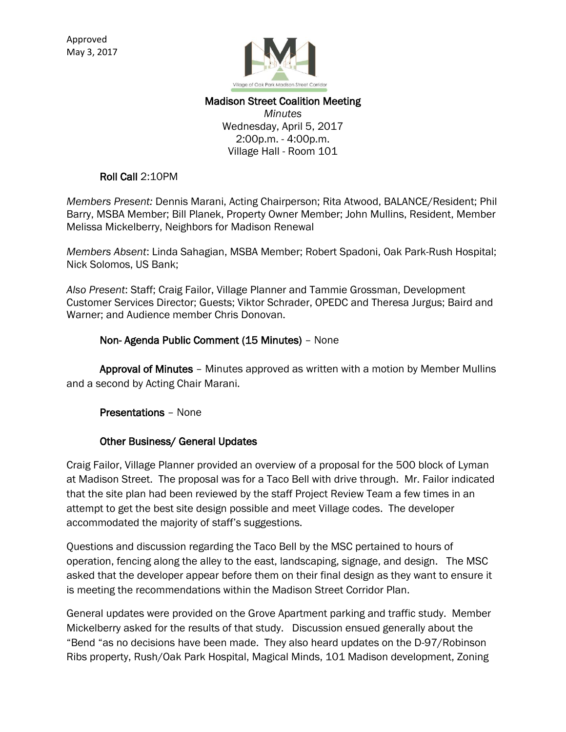

## Madison Street Coalition Meeting *Minutes* Wednesday, April 5, 2017 2:00p.m. - 4:00p.m. Village Hall - Room 101

## Roll Call 2:10PM

*Members Present:* Dennis Marani, Acting Chairperson; Rita Atwood, BALANCE/Resident; Phil Barry, MSBA Member; Bill Planek, Property Owner Member; John Mullins, Resident, Member Melissa Mickelberry, Neighbors for Madison Renewal

*Members Absent*: Linda Sahagian, MSBA Member; Robert Spadoni, Oak Park-Rush Hospital; Nick Solomos, US Bank;

*Also Present*: Staff; Craig Failor, Village Planner and Tammie Grossman, Development Customer Services Director; Guests; Viktor Schrader, OPEDC and Theresa Jurgus; Baird and Warner; and Audience member Chris Donovan.

#### Non- Agenda Public Comment (15 Minutes) – None

 Approval of Minutes – Minutes approved as written with a motion by Member Mullins and a second by Acting Chair Marani.

Presentations – None

# Other Business/ General Updates

Craig Failor, Village Planner provided an overview of a proposal for the 500 block of Lyman at Madison Street. The proposal was for a Taco Bell with drive through. Mr. Failor indicated that the site plan had been reviewed by the staff Project Review Team a few times in an attempt to get the best site design possible and meet Village codes. The developer accommodated the majority of staff's suggestions.

Questions and discussion regarding the Taco Bell by the MSC pertained to hours of operation, fencing along the alley to the east, landscaping, signage, and design. The MSC asked that the developer appear before them on their final design as they want to ensure it is meeting the recommendations within the Madison Street Corridor Plan.

General updates were provided on the Grove Apartment parking and traffic study. Member Mickelberry asked for the results of that study. Discussion ensued generally about the "Bend "as no decisions have been made. They also heard updates on the D-97/Robinson Ribs property, Rush/Oak Park Hospital, Magical Minds, 101 Madison development, Zoning